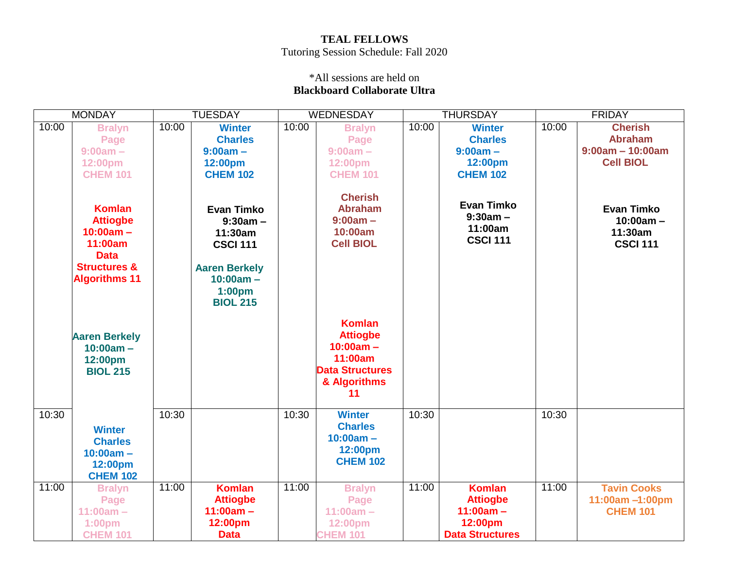## **TEAL FELLOWS** Tutoring Session Schedule: Fall 2020

## \*All sessions are held on **Blackboard Collaborate Ultra**

| <b>MONDAY</b> |                                                                                                                              | <b>TUESDAY</b> |                                                                                                                            | <b>WEDNESDAY</b> |                                                                                                            | <b>THURSDAY</b> |                                                                                      | <b>FRIDAY</b> |                                                                |
|---------------|------------------------------------------------------------------------------------------------------------------------------|----------------|----------------------------------------------------------------------------------------------------------------------------|------------------|------------------------------------------------------------------------------------------------------------|-----------------|--------------------------------------------------------------------------------------|---------------|----------------------------------------------------------------|
| 10:00         | <b>Bralyn</b>                                                                                                                | 10:00          | <b>Winter</b>                                                                                                              | 10:00            | <b>Bralyn</b>                                                                                              | 10:00           | <b>Winter</b>                                                                        | 10:00         | <b>Cherish</b>                                                 |
|               | Page                                                                                                                         |                | <b>Charles</b>                                                                                                             |                  | Page                                                                                                       |                 | <b>Charles</b>                                                                       |               | <b>Abraham</b>                                                 |
|               | $9:00am -$                                                                                                                   |                | $9:00am -$                                                                                                                 |                  | $9:00am -$                                                                                                 |                 | $9:00am -$                                                                           |               | $9:00am - 10:00am$                                             |
|               | 12:00pm                                                                                                                      |                | 12:00pm                                                                                                                    |                  | 12:00pm                                                                                                    |                 | 12:00pm                                                                              |               | <b>Cell BIOL</b>                                               |
|               | <b>CHEM 101</b>                                                                                                              |                | <b>CHEM 102</b>                                                                                                            |                  | <b>CHEM 101</b>                                                                                            |                 | <b>CHEM 102</b>                                                                      |               |                                                                |
|               | <b>Komlan</b><br><b>Attiogbe</b><br>$10:00am -$<br>11:00am<br><b>Data</b><br><b>Structures &amp;</b><br><b>Algorithms 11</b> |                | <b>Evan Timko</b><br>$9:30am -$<br>11:30am<br><b>CSCI 111</b><br><b>Aaren Berkely</b><br>$10:00am -$<br>1:00 <sub>pm</sub> |                  | <b>Cherish</b><br><b>Abraham</b><br>$9:00am -$<br>10:00am<br><b>Cell BIOL</b>                              |                 | <b>Evan Timko</b><br>$9:30am -$<br>11:00am<br><b>CSCI 111</b>                        |               | <b>Evan Timko</b><br>$10:00am -$<br>11:30am<br><b>CSCI 111</b> |
|               | <b>Aaren Berkely</b><br>$10:00am -$<br>12:00pm<br><b>BIOL 215</b>                                                            |                | <b>BIOL 215</b>                                                                                                            |                  | <b>Komlan</b><br><b>Attiogbe</b><br>$10:00am -$<br>11:00am<br><b>Data Structures</b><br>& Algorithms<br>11 |                 |                                                                                      |               |                                                                |
| 10:30         | <b>Winter</b><br><b>Charles</b><br>$10:00am -$<br>12:00pm<br><b>CHEM 102</b>                                                 | 10:30          |                                                                                                                            | 10:30            | <b>Winter</b><br><b>Charles</b><br>$10:00am -$<br>12:00pm<br><b>CHEM 102</b>                               | 10:30           |                                                                                      | 10:30         |                                                                |
| 11:00         | <b>Bralyn</b><br>Page<br>$11:00am -$<br>1:00pm<br><b>CHEM 101</b>                                                            | 11:00          | <b>Komlan</b><br><b>Attiogbe</b><br>$11:00am -$<br>12:00pm<br><b>Data</b>                                                  | 11:00            | <b>Bralyn</b><br>Page<br>$11:00am -$<br>12:00pm<br><b>CHEM 101</b>                                         | 11:00           | <b>Komlan</b><br><b>Attiogbe</b><br>$11:00am -$<br>12:00pm<br><b>Data Structures</b> | 11:00         | <b>Tavin Cooks</b><br>11:00am -1:00pm<br><b>CHEM 101</b>       |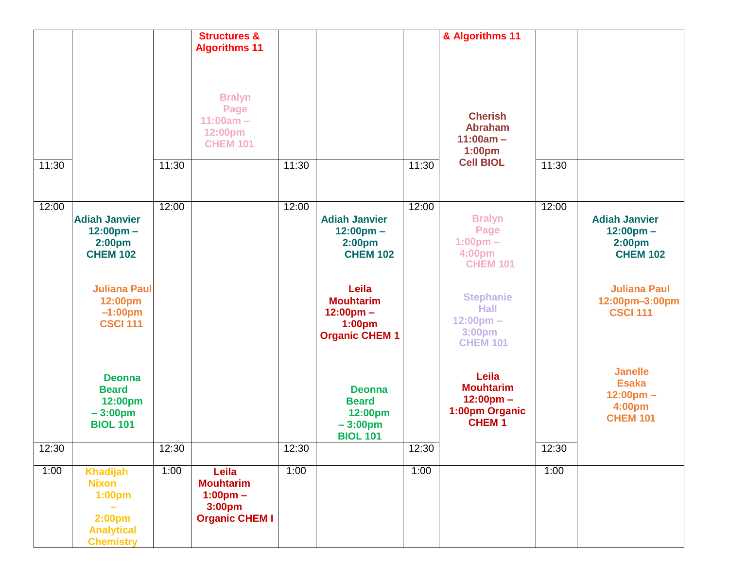|       |                                                                                                                      |       | <b>Structures &amp;</b>                                                                        |       |                                                                                      |       | & Algorithms 11                                                                     |       |                                                                                      |
|-------|----------------------------------------------------------------------------------------------------------------------|-------|------------------------------------------------------------------------------------------------|-------|--------------------------------------------------------------------------------------|-------|-------------------------------------------------------------------------------------|-------|--------------------------------------------------------------------------------------|
|       |                                                                                                                      |       | <b>Algorithms 11</b><br><b>Bralyn</b><br>Page<br>$11:00am -$<br>12:00pm<br><b>CHEM 101</b>     |       |                                                                                      |       | <b>Cherish</b><br><b>Abraham</b><br>$11:00am -$<br>1:00pm                           |       |                                                                                      |
| 11:30 |                                                                                                                      | 11:30 |                                                                                                | 11:30 |                                                                                      | 11:30 | <b>Cell BIOL</b>                                                                    | 11:30 |                                                                                      |
| 12:00 | <b>Adiah Janvier</b><br>$12:00 \text{pm} -$<br>2:00 <sub>pm</sub><br><b>CHEM 102</b>                                 | 12:00 |                                                                                                | 12:00 | <b>Adiah Janvier</b><br>$12:00 \text{pm} -$<br>2:00 <sub>pm</sub><br><b>CHEM 102</b> | 12:00 | <b>Bralyn</b><br>Page<br>$1:00 \text{pm} -$<br>4:00pm<br><b>CHEM 101</b>            | 12:00 | <b>Adiah Janvier</b><br>$12:00 \text{pm} -$<br>2:00 <sub>pm</sub><br><b>CHEM 102</b> |
|       | <b>Juliana Paul</b><br>12:00pm<br>$-1:00$ pm<br><b>CSCI 111</b>                                                      |       |                                                                                                |       | Leila<br><b>Mouhtarim</b><br>$12:00 \text{pm} -$<br>1:00pm<br><b>Organic CHEM 1</b>  |       | <b>Stephanie</b><br><b>Hall</b><br>$12:00 \text{pm} -$<br>3:00pm<br><b>CHEM 101</b> |       | <b>Juliana Paul</b><br>12:00pm-3:00pm<br><b>CSCI 111</b>                             |
|       | <b>Deonna</b><br><b>Beard</b><br>12:00pm<br>$-3:00pm$<br><b>BIOL 101</b>                                             |       |                                                                                                |       | <b>Deonna</b><br><b>Beard</b><br>12:00pm<br>$-3:00pm$<br><b>BIOL 101</b>             |       | Leila<br><b>Mouhtarim</b><br>$12:00 \text{pm} -$<br>1:00pm Organic<br><b>CHEM1</b>  |       | <b>Janelle</b><br><b>Esaka</b><br>$12:00 \text{pm} -$<br>4:00pm<br><b>CHEM 101</b>   |
| 12:30 |                                                                                                                      | 12:30 |                                                                                                | 12:30 |                                                                                      | 12:30 |                                                                                     | 12:30 |                                                                                      |
| 1:00  | <b>Khadijah</b><br><b>Nixon</b><br>1:00 <sub>pm</sub><br>2:00 <sub>pm</sub><br><b>Analytical</b><br><b>Chemistry</b> | 1:00  | Leila<br><b>Mouhtarim</b><br>$1:00 \text{pm} -$<br>3:00 <sub>pm</sub><br><b>Organic CHEM I</b> | 1:00  |                                                                                      | 1:00  |                                                                                     | 1:00  |                                                                                      |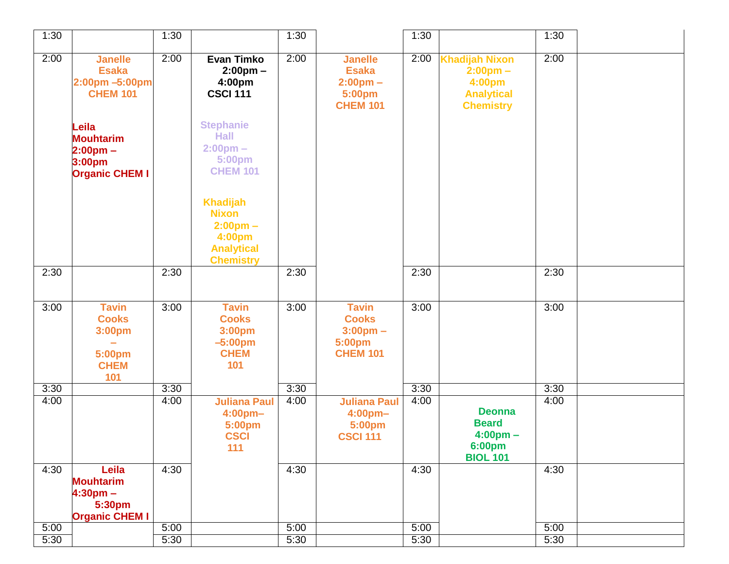| 1:30 |                                                                            | 1:30 |                                                                                                          | 1:30 |                                                                                   | 1:30 |                                                                                                | 1:30 |  |
|------|----------------------------------------------------------------------------|------|----------------------------------------------------------------------------------------------------------|------|-----------------------------------------------------------------------------------|------|------------------------------------------------------------------------------------------------|------|--|
| 2:00 | <b>Janelle</b><br><b>Esaka</b><br>2:00pm -5:00pm<br><b>CHEM 101</b>        | 2:00 | <b>Evan Timko</b><br>$2:00 \text{pm} -$<br>4:00pm<br><b>CSCI 111</b>                                     | 2:00 | <b>Janelle</b><br><b>Esaka</b><br>$2:00 \text{pm} -$<br>5:00pm<br><b>CHEM 101</b> | 2:00 | <b>Khadijah Nixon</b><br>$2:00 \text{pm} -$<br>4:00pm<br><b>Analytical</b><br><b>Chemistry</b> | 2:00 |  |
|      | Leila<br><b>Mouhtarim</b><br>$2:00pm -$<br>3:00pm<br><b>Organic CHEM I</b> |      | <b>Stephanie</b><br><b>Hall</b><br>$2:00 \text{pm} -$<br>5:00pm<br><b>CHEM 101</b>                       |      |                                                                                   |      |                                                                                                |      |  |
|      |                                                                            |      | <b>Khadijah</b><br><b>Nixon</b><br>$2:00 \text{pm} -$<br>4:00pm<br><b>Analytical</b><br><b>Chemistry</b> |      |                                                                                   |      |                                                                                                |      |  |
| 2:30 |                                                                            | 2:30 |                                                                                                          | 2:30 |                                                                                   | 2:30 |                                                                                                | 2:30 |  |
| 3:00 | <b>Tavin</b><br><b>Cooks</b><br>3:00pm<br>5:00pm<br><b>CHEM</b><br>101     | 3:00 | <b>Tavin</b><br><b>Cooks</b><br>3:00pm<br>$-5:00pm$<br><b>CHEM</b><br>101                                | 3:00 | <b>Tavin</b><br><b>Cooks</b><br>$3:00 \text{pm} -$<br>5:00pm<br><b>CHEM 101</b>   | 3:00 |                                                                                                | 3:00 |  |
| 3:30 |                                                                            | 3:30 |                                                                                                          | 3:30 |                                                                                   | 3:30 |                                                                                                | 3:30 |  |
| 4:00 |                                                                            | 4:00 | <b>Juliana Paul</b><br>4:00pm-<br>5:00pm<br><b>CSCI</b><br>111                                           | 4:00 | <b>Juliana Paul</b><br>4:00 <sub>pm</sub><br>5:00pm<br><b>CSCI 111</b>            | 4:00 | <b>Deonna</b><br><b>Beard</b><br>$4:00 \text{pm} -$<br>6:00pm<br><b>BIOL 101</b>               | 4:00 |  |
| 4:30 | Leila<br><b>Mouhtarim</b><br>$4:30pm -$<br>5:30pm<br><b>Organic CHEM I</b> | 4:30 |                                                                                                          | 4:30 |                                                                                   | 4:30 |                                                                                                | 4:30 |  |
| 5:00 |                                                                            | 5:00 |                                                                                                          | 5:00 |                                                                                   | 5:00 |                                                                                                | 5:00 |  |
| 5:30 |                                                                            | 5:30 |                                                                                                          | 5:30 |                                                                                   | 5:30 |                                                                                                | 5:30 |  |